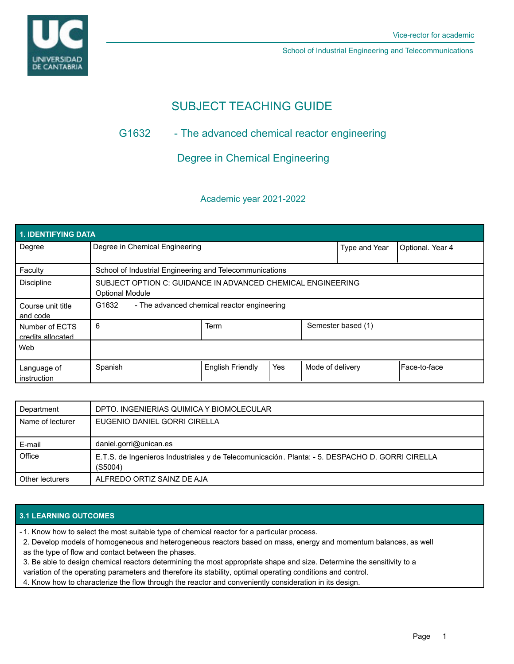

School of Industrial Engineering and Telecommunications

# SUBJECT TEACHING GUIDE

## G1632 - The advanced chemical reactor engineering

Degree in Chemical Engineering

## Academic year 2021-2022

| <b>1. IDENTIFYING DATA</b>          |                                                                                       |                         |     |                    |               |                  |
|-------------------------------------|---------------------------------------------------------------------------------------|-------------------------|-----|--------------------|---------------|------------------|
| Degree                              | Degree in Chemical Engineering                                                        |                         |     |                    | Type and Year | Optional. Year 4 |
| Faculty                             | School of Industrial Engineering and Telecommunications                               |                         |     |                    |               |                  |
| <b>Discipline</b>                   | SUBJECT OPTION C: GUIDANCE IN ADVANCED CHEMICAL ENGINEERING<br><b>Optional Module</b> |                         |     |                    |               |                  |
| Course unit title<br>and code       | G1632<br>- The advanced chemical reactor engineering                                  |                         |     |                    |               |                  |
| Number of ECTS<br>credits allocated | 6                                                                                     | <b>Term</b>             |     | Semester based (1) |               |                  |
| Web                                 |                                                                                       |                         |     |                    |               |                  |
| Language of<br>instruction          | Spanish                                                                               | <b>English Friendly</b> | Yes | Mode of delivery   |               | l Face-to-face   |

| Department       | DPTO. INGENIERIAS QUIMICA Y BIOMOLECULAR                                                                   |  |
|------------------|------------------------------------------------------------------------------------------------------------|--|
| Name of lecturer | EUGENIO DANIEL GORRI CIRELLA                                                                               |  |
| E-mail           | daniel.gorri@unican.es                                                                                     |  |
| Office           | E.T.S. de Ingenieros Industriales y de Telecomunicación. Planta: - 5. DESPACHO D. GORRI CIRELLA<br>(S5004) |  |
| Other lecturers  | ALFREDO ORTIZ SAINZ DE AJA                                                                                 |  |

## **3.1 LEARNING OUTCOMES**

- 1. Know how to select the most suitable type of chemical reactor for a particular process.

2. Develop models of homogeneous and heterogeneous reactors based on mass, energy and momentum balances, as well

as the type of flow and contact between the phases.

3. Be able to design chemical reactors determining the most appropriate shape and size. Determine the sensitivity to a variation of the operating parameters and therefore its stability, optimal operating conditions and control.

4. Know how to characterize the flow through the reactor and conveniently consideration in its design.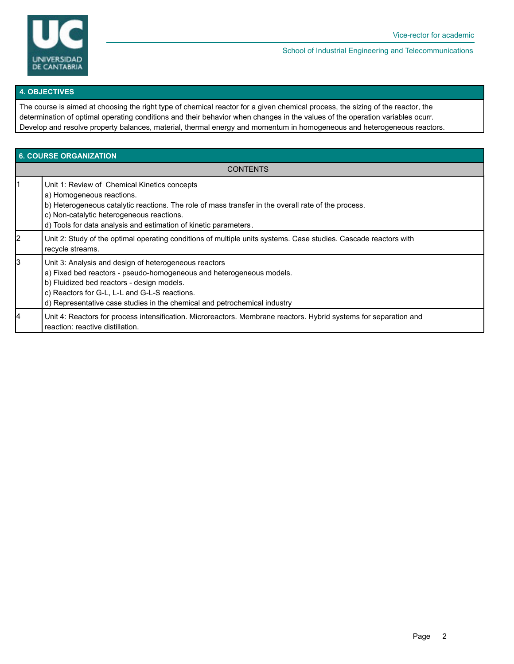

School of Industrial Engineering and Telecommunications

#### **4. OBJECTIVES**

The course is aimed at choosing the right type of chemical reactor for a given chemical process, the sizing of the reactor, the determination of optimal operating conditions and their behavior when changes in the values of the operation variables ocurr. Develop and resolve property balances, material, thermal energy and momentum in homogeneous and heterogeneous reactors.

| <b>6. COURSE ORGANIZATION</b> |                                                                                                                                                                                                                                                                                                           |  |  |  |
|-------------------------------|-----------------------------------------------------------------------------------------------------------------------------------------------------------------------------------------------------------------------------------------------------------------------------------------------------------|--|--|--|
|                               | <b>CONTENTS</b>                                                                                                                                                                                                                                                                                           |  |  |  |
|                               | Unit 1: Review of Chemical Kinetics concepts<br>a) Homogeneous reactions.<br>b) Heterogeneous catalytic reactions. The role of mass transfer in the overall rate of the process.<br>c) Non-catalytic heterogeneous reactions.<br>d) Tools for data analysis and estimation of kinetic parameters.         |  |  |  |
| 2                             | Unit 2: Study of the optimal operating conditions of multiple units systems. Case studies. Cascade reactors with<br>recycle streams.                                                                                                                                                                      |  |  |  |
| l3                            | Unit 3: Analysis and design of heterogeneous reactors<br>a) Fixed bed reactors - pseudo-homogeneous and heterogeneous models.<br>b) Fluidized bed reactors - design models.<br>c) Reactors for G-L, L-L and G-L-S reactions.<br>d) Representative case studies in the chemical and petrochemical industry |  |  |  |
| 14                            | Unit 4: Reactors for process intensification. Microreactors. Membrane reactors. Hybrid systems for separation and<br>reaction: reactive distillation.                                                                                                                                                     |  |  |  |